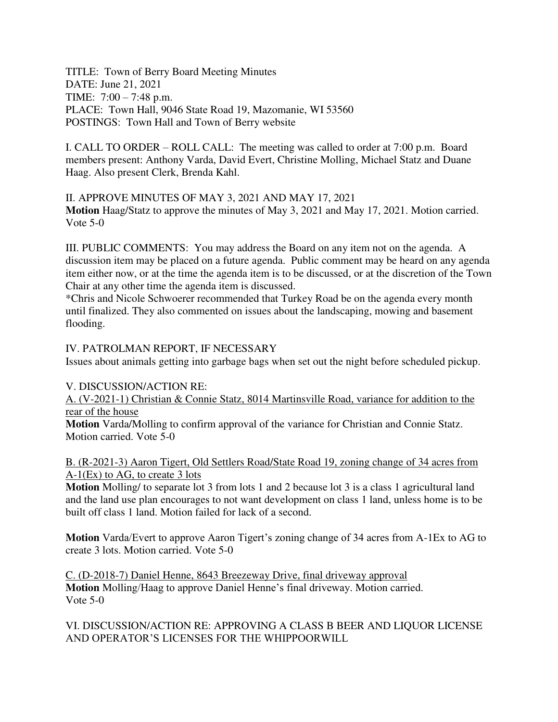TITLE: Town of Berry Board Meeting Minutes DATE: June 21, 2021 TIME: 7:00 – 7:48 p.m. PLACE: Town Hall, 9046 State Road 19, Mazomanie, WI 53560 POSTINGS: Town Hall and Town of Berry website

I. CALL TO ORDER – ROLL CALL: The meeting was called to order at 7:00 p.m. Board members present: Anthony Varda, David Evert, Christine Molling, Michael Statz and Duane Haag. Also present Clerk, Brenda Kahl.

II. APPROVE MINUTES OF MAY 3, 2021 AND MAY 17, 2021 **Motion** Haag/Statz to approve the minutes of May 3, 2021 and May 17, 2021. Motion carried. Vote 5-0

III. PUBLIC COMMENTS: You may address the Board on any item not on the agenda. A discussion item may be placed on a future agenda. Public comment may be heard on any agenda item either now, or at the time the agenda item is to be discussed, or at the discretion of the Town Chair at any other time the agenda item is discussed.

\*Chris and Nicole Schwoerer recommended that Turkey Road be on the agenda every month until finalized. They also commented on issues about the landscaping, mowing and basement flooding.

IV. PATROLMAN REPORT, IF NECESSARY

Issues about animals getting into garbage bags when set out the night before scheduled pickup.

### V. DISCUSSION/ACTION RE:

A. (V-2021-1) Christian & Connie Statz, 8014 Martinsville Road, variance for addition to the rear of the house

**Motion** Varda/Molling to confirm approval of the variance for Christian and Connie Statz. Motion carried. Vote 5-0

### B. (R-2021-3) Aaron Tigert, Old Settlers Road/State Road 19, zoning change of 34 acres from A-1(Ex) to AG, to create 3 lots

**Motion** Molling/ to separate lot 3 from lots 1 and 2 because lot 3 is a class 1 agricultural land and the land use plan encourages to not want development on class 1 land, unless home is to be built off class 1 land. Motion failed for lack of a second.

**Motion** Varda/Evert to approve Aaron Tigert's zoning change of 34 acres from A-1Ex to AG to create 3 lots. Motion carried. Vote 5-0

C. (D-2018-7) Daniel Henne, 8643 Breezeway Drive, final driveway approval **Motion** Molling/Haag to approve Daniel Henne's final driveway. Motion carried. Vote 5-0

VI. DISCUSSION/ACTION RE: APPROVING A CLASS B BEER AND LIQUOR LICENSE AND OPERATOR'S LICENSES FOR THE WHIPPOORWILL